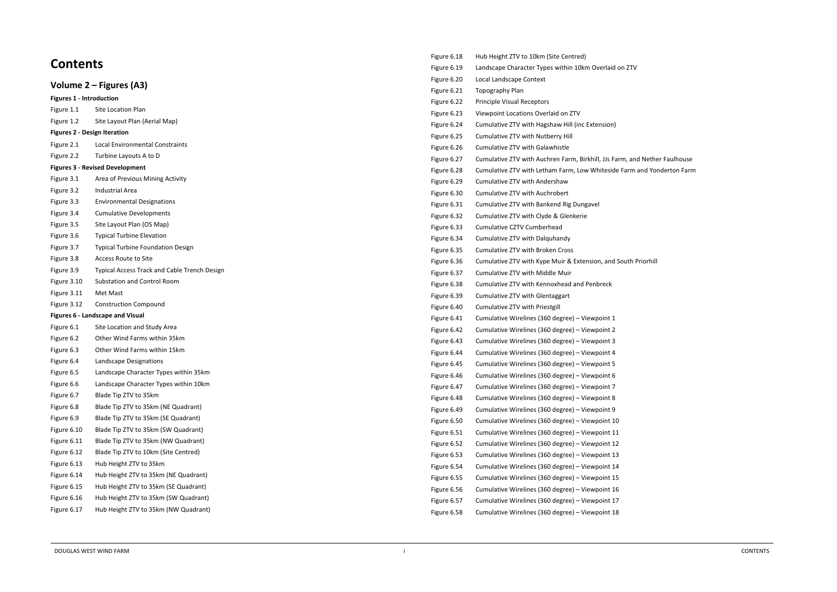## **Contents**

| Volume 2 – Figures (A3)                 |                                              |  |  |  |
|-----------------------------------------|----------------------------------------------|--|--|--|
| <b>Figures 1 - Introduction</b>         |                                              |  |  |  |
| Figure 1.1                              | Site Location Plan                           |  |  |  |
| Figure 1.2                              | Site Layout Plan (Aerial Map)                |  |  |  |
| <b>Figures 2 - Design Iteration</b>     |                                              |  |  |  |
| Figure 2.1                              | Local Environmental Constraints              |  |  |  |
| Figure 2.2                              | Turbine Layouts A to D                       |  |  |  |
| <b>Figures 3 - Revised Development</b>  |                                              |  |  |  |
| Figure 3.1                              | Area of Previous Mining Activity             |  |  |  |
| Figure 3.2                              | <b>Industrial Area</b>                       |  |  |  |
| Figure 3.3                              | <b>Environmental Designations</b>            |  |  |  |
| Figure 3.4                              | <b>Cumulative Developments</b>               |  |  |  |
| Figure 3.5                              | Site Layout Plan (OS Map)                    |  |  |  |
| Figure 3.6                              | <b>Typical Turbine Elevation</b>             |  |  |  |
| Figure 3.7                              | <b>Typical Turbine Foundation Design</b>     |  |  |  |
| Figure 3.8                              | <b>Access Route to Site</b>                  |  |  |  |
| Figure 3.9                              | Typical Access Track and Cable Trench Design |  |  |  |
| Figure 3.10                             | <b>Substation and Control Room</b>           |  |  |  |
| Figure 3.11                             | Met Mast                                     |  |  |  |
| Figure 3.12                             | <b>Construction Compound</b>                 |  |  |  |
| <b>Figures 6 - Landscape and Visual</b> |                                              |  |  |  |
| Figure 6.1                              | Site Location and Study Area                 |  |  |  |
| Figure 6.2                              | Other Wind Farms within 35km                 |  |  |  |
| Figure 6.3                              | Other Wind Farms within 15km                 |  |  |  |
| Figure 6.4                              | Landscape Designations                       |  |  |  |
| Figure 6.5                              | Landscape Character Types within 35km        |  |  |  |
| Figure 6.6                              | Landscape Character Types within 10km        |  |  |  |
| Figure 6.7                              | Blade Tip ZTV to 35km                        |  |  |  |
| Figure 6.8                              | Blade Tip ZTV to 35km (NE Quadrant)          |  |  |  |
| Figure 6.9                              | Blade Tip ZTV to 35km (SE Quadrant)          |  |  |  |
| Figure 6.10                             | Blade Tip ZTV to 35km (SW Quadrant)          |  |  |  |
| Figure 6.11                             | Blade Tip ZTV to 35km (NW Quadrant)          |  |  |  |
| Figure 6.12                             | Blade Tip ZTV to 10km (Site Centred)         |  |  |  |
| Figure 6.13                             | Hub Height ZTV to 35km                       |  |  |  |
| Figure 6.14                             | Hub Height ZTV to 35km (NE Quadrant)         |  |  |  |
| Figure 6.15                             | Hub Height ZTV to 35km (SE Quadrant)         |  |  |  |
| Figure 6.16                             | Hub Height ZTV to 35km (SW Quadrant)         |  |  |  |
| Figure 6.17                             | Hub Height ZTV to 35km (NW Quadrant)         |  |  |  |
|                                         |                                              |  |  |  |

| Figure 6.18 | Hub Height ZTV to 10km (Site Centred)                    |  |
|-------------|----------------------------------------------------------|--|
| Figure 6.19 | Landscape Character Types within 10km Overlaid on ZTV    |  |
| Figure 6.20 | Local Landscape Context                                  |  |
| Figure 6.21 | Topography Plan                                          |  |
| Figure 6.22 | <b>Principle Visual Receptors</b>                        |  |
| Figure 6.23 | Viewpoint Locations Overlaid on ZTV                      |  |
| Figure 6.24 | Cumulative ZTV with Hagshaw Hill (inc Extension)         |  |
| Figure 6.25 | Cumulative ZTV with Nutberry Hill                        |  |
| Figure 6.26 | Cumulative ZTV with Galawhistle                          |  |
| Figure 6.27 | Cumulative ZTV with Auchren Farm, Birkhill, JJs Farm, an |  |
| Figure 6.28 | Cumulative ZTV with Letham Farm, Low Whiteside Farm      |  |
| Figure 6.29 | Cumulative ZTV with Andershaw                            |  |
| Figure 6.30 | <b>Cumulative ZTV with Auchrobert</b>                    |  |
| Figure 6.31 | Cumulative ZTV with Bankend Rig Dungavel                 |  |
| Figure 6.32 | Cumulative ZTV with Clyde & Glenkerie                    |  |
| Figure 6.33 | Cumulative CZTV Cumberhead                               |  |
| Figure 6.34 | Cumulative ZTV with Dalquhandy                           |  |
| Figure 6.35 | Cumulative ZTV with Broken Cross                         |  |
| Figure 6.36 | Cumulative ZTV with Kype Muir & Extension, and South I   |  |
| Figure 6.37 | Cumulative ZTV with Middle Muir                          |  |
| Figure 6.38 | Cumulative ZTV with Kennoxhead and Penbreck              |  |
| Figure 6.39 | Cumulative ZTV with Glentaggart                          |  |
| Figure 6.40 | Cumulative ZTV with Priestgill                           |  |
| Figure 6.41 | Cumulative Wirelines (360 degree) - Viewpoint 1          |  |
| Figure 6.42 | Cumulative Wirelines (360 degree) - Viewpoint 2          |  |
| Figure 6.43 | Cumulative Wirelines (360 degree) - Viewpoint 3          |  |
| Figure 6.44 | Cumulative Wirelines (360 degree) - Viewpoint 4          |  |
| Figure 6.45 | Cumulative Wirelines (360 degree) - Viewpoint 5          |  |
| Figure 6.46 | Cumulative Wirelines (360 degree) - Viewpoint 6          |  |
| Figure 6.47 | Cumulative Wirelines (360 degree) - Viewpoint 7          |  |
| Figure 6.48 | Cumulative Wirelines (360 degree) - Viewpoint 8          |  |
| Figure 6.49 | Cumulative Wirelines (360 degree) - Viewpoint 9          |  |
| Figure 6.50 | Cumulative Wirelines (360 degree) - Viewpoint 10         |  |
| Figure 6.51 | Cumulative Wirelines (360 degree) - Viewpoint 11         |  |
| Figure 6.52 | Cumulative Wirelines (360 degree) - Viewpoint 12         |  |
| Figure 6.53 | Cumulative Wirelines (360 degree) - Viewpoint 13         |  |
| Figure 6.54 | Cumulative Wirelines (360 degree) - Viewpoint 14         |  |
| Figure 6.55 | Cumulative Wirelines (360 degree) - Viewpoint 15         |  |
| Figure 6.56 | Cumulative Wirelines (360 degree) - Viewpoint 16         |  |
| Figure 6.57 | Cumulative Wirelines (360 degree) - Viewpoint 17         |  |
| Figure 6.58 | Cumulative Wirelines (360 degree) - Viewpoint 18         |  |

n, and Nether Faulhouse arm and Yonderton Farm

uth Priorhill